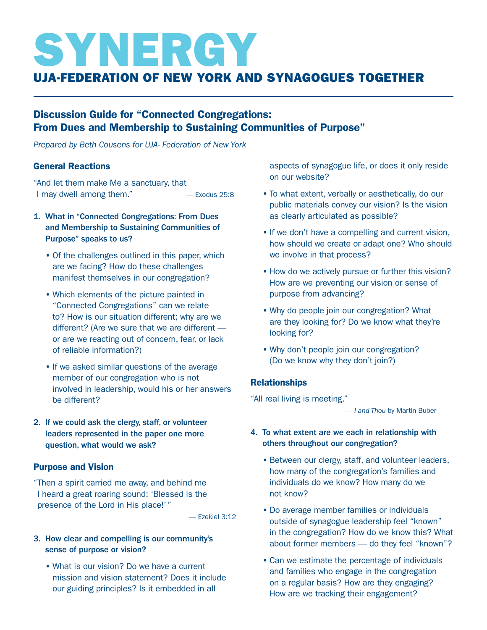# SYNERGY

## UJA-Federation of New York and Synagogues Together

### Discussion Guide for "Connected Congregations: From Dues and Membership to Sustaining Communities of Purpose"

*Prepared by Beth Cousens for UJA- Federation of New York*

#### General Reactions

"And let them make Me a sanctuary, that I may dwell among them." — Exodus 25:8

- 1. What in "Connected Congregations: From Dues and Membership to Sustaining Communities of Purpose" speaks to us?
	- Of the challenges outlined in this paper, which are we facing? How do these challenges manifest themselves in our congregation?
	- Which elements of the picture painted in "Connected Congregations" can we relate to? How is our situation different; why are we different? (Are we sure that we are different or are we reacting out of concern, fear, or lack of reliable information?)
	- If we asked similar questions of the average member of our congregation who is not involved in leadership, would his or her answers be different?
- 2. If we could ask the clergy, staff, or volunteer leaders represented in the paper one more question, what would we ask?

#### Purpose and Vision

"Then a spirit carried me away, and behind me I heard a great roaring sound: 'Blessed is the presence of the Lord in His place!' "

— Ezekiel 3:12

#### 3. How clear and compelling is our community's sense of purpose or vision?

 • What is our vision? Do we have a current mission and vision statement? Does it include our guiding principles? Is it embedded in all

aspects of synagogue life, or does it only reside on our website?

- To what extent, verbally or aesthetically, do our public materials convey our vision? Is the vision as clearly articulated as possible?
- If we don't have a compelling and current vision, how should we create or adapt one? Who should we involve in that process?
- How do we actively pursue or further this vision? How are we preventing our vision or sense of purpose from advancing?
- Why do people join our congregation? What are they looking for? Do we know what they're looking for?
- Why don't people join our congregation? (Do we know why they don't join?)

#### **Relationships**

"All real living is meeting."

— *I and Thou* by Martin Buber

#### 4. To what extent are we each in relationship with others throughout our congregation?

- Between our clergy, staff, and volunteer leaders, how many of the congregation's families and individuals do we know? How many do we not know?
- Do average member families or individuals outside of synagogue leadership feel "known" in the congregation? How do we know this? What about former members — do they feel "known"?
- Can we estimate the percentage of individuals and families who engage in the congregation on a regular basis? How are they engaging? How are we tracking their engagement?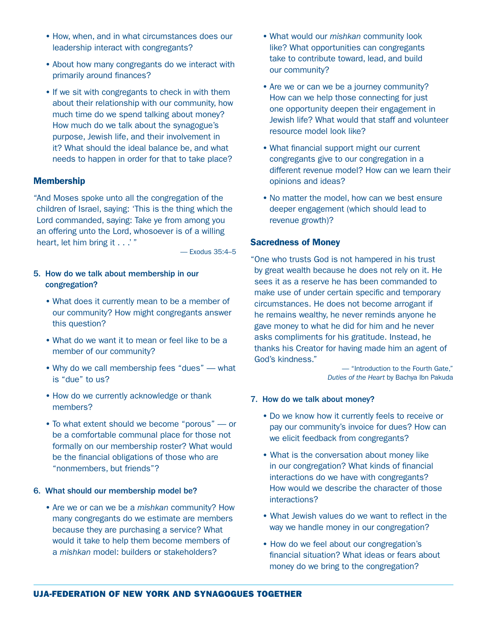- How, when, and in what circumstances does our leadership interact with congregants?
- About how many congregants do we interact with primarily around finances?
- If we sit with congregants to check in with them about their relationship with our community, how much time do we spend talking about money? How much do we talk about the synagogue's purpose, Jewish life, and their involvement in it? What should the ideal balance be, and what needs to happen in order for that to take place?

#### Membership

"And Moses spoke unto all the congregation of the children of Israel, saying: 'This is the thing which the Lord commanded, saying: Take ye from among you an offering unto the Lord, whosoever is of a willing heart, let him bring it . . .'"

— Exodus 35:4–5

- 5. How do we talk about membership in our congregation?
	- What does it currently mean to be a member of our community? How might congregants answer this question?
	- What do we want it to mean or feel like to be a member of our community?
	- Why do we call membership fees "dues" what is "due" to us?
	- How do we currently acknowledge or thank members?
	- To what extent should we become "porous" or be a comfortable communal place for those not formally on our membership roster? What would be the financial obligations of those who are "nonmembers, but friends"?

#### 6. What should our membership model be?

 • Are we or can we be a *mishkan* community? How many congregants do we estimate are members because they are purchasing a service? What would it take to help them become members of a *mishkan* model: builders or stakeholders?

- What would our *mishkan* community look like? What opportunities can congregants take to contribute toward, lead, and build our community?
- Are we or can we be a journey community? How can we help those connecting for just one opportunity deepen their engagement in Jewish life? What would that staff and volunteer resource model look like?
- What financial support might our current congregants give to our congregation in a different revenue model? How can we learn their opinions and ideas?
- No matter the model, how can we best ensure deeper engagement (which should lead to revenue growth)?

#### Sacredness of Money

"One who trusts God is not hampered in his trust by great wealth because he does not rely on it. He sees it as a reserve he has been commanded to make use of under certain specific and temporary circumstances. He does not become arrogant if he remains wealthy, he never reminds anyone he gave money to what he did for him and he never asks compliments for his gratitude. Instead, he thanks his Creator for having made him an agent of God's kindness."

> — "Introduction to the Fourth Gate," *Duties of the Heart* by Bachya Ibn Pakuda

- 7. How do we talk about money?
	- Do we know how it currently feels to receive or pay our community's invoice for dues? How can we elicit feedback from congregants?
	- What is the conversation about money like in our congregation? What kinds of financial interactions do we have with congregants? How would we describe the character of those interactions?
	- What Jewish values do we want to reflect in the way we handle money in our congregation?
	- How do we feel about our congregation's financial situation? What ideas or fears about money do we bring to the congregation?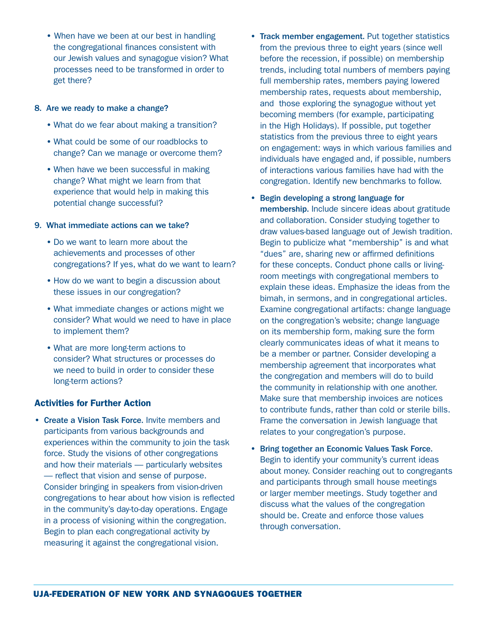• When have we been at our best in handling the congregational finances consistent with our Jewish values and synagogue vision? What processes need to be transformed in order to get there?

#### 8. Are we ready to make a change?

- What do we fear about making a transition?
- What could be some of our roadblocks to change? Can we manage or overcome them?
- When have we been successful in making change? What might we learn from that experience that would help in making this potential change successful?

#### 9. What immediate actions can we take?

- Do we want to learn more about the achievements and processes of other congregations? If yes, what do we want to learn?
- How do we want to begin a discussion about these issues in our congregation?
- What immediate changes or actions might we consider? What would we need to have in place to implement them?
- What are more long-term actions to consider? What structures or processes do we need to build in order to consider these long-term actions?

#### Activities for Further Action

• Create a Vision Task Force. Invite members and participants from various backgrounds and experiences within the community to join the task force. Study the visions of other congregations and how their materials — particularly websites — reflect that vision and sense of purpose. Consider bringing in speakers from vision-driven congregations to hear about how vision is reflected in the community's day-to-day operations. Engage in a process of visioning within the congregation. Begin to plan each congregational activity by measuring it against the congregational vision.

- Track member engagement. Put together statistics from the previous three to eight years (since well before the recession, if possible) on membership trends, including total numbers of members paying full membership rates, members paying lowered membership rates, requests about membership, and those exploring the synagogue without yet becoming members (for example, participating in the High Holidays). If possible, put together statistics from the previous three to eight years on engagement: ways in which various families and individuals have engaged and, if possible, numbers of interactions various families have had with the congregation. Identify new benchmarks to follow.
- Begin developing a strong language for membership. Include sincere ideas about gratitude and collaboration. Consider studying together to draw values-based language out of Jewish tradition. Begin to publicize what "membership" is and what "dues" are, sharing new or affirmed definitions for these concepts. Conduct phone calls or livingroom meetings with congregational members to explain these ideas. Emphasize the ideas from the bimah, in sermons, and in congregational articles. Examine congregational artifacts: change language on the congregation's website; change language on its membership form, making sure the form clearly communicates ideas of what it means to be a member or partner. Consider developing a membership agreement that incorporates what the congregation and members will do to build the community in relationship with one another. Make sure that membership invoices are notices to contribute funds, rather than cold or sterile bills. Frame the conversation in Jewish language that relates to your congregation's purpose.
- Bring together an Economic Values Task Force. Begin to identify your community's current ideas about money. Consider reaching out to congregants and participants through small house meetings or larger member meetings. Study together and discuss what the values of the congregation should be. Create and enforce those values through conversation.